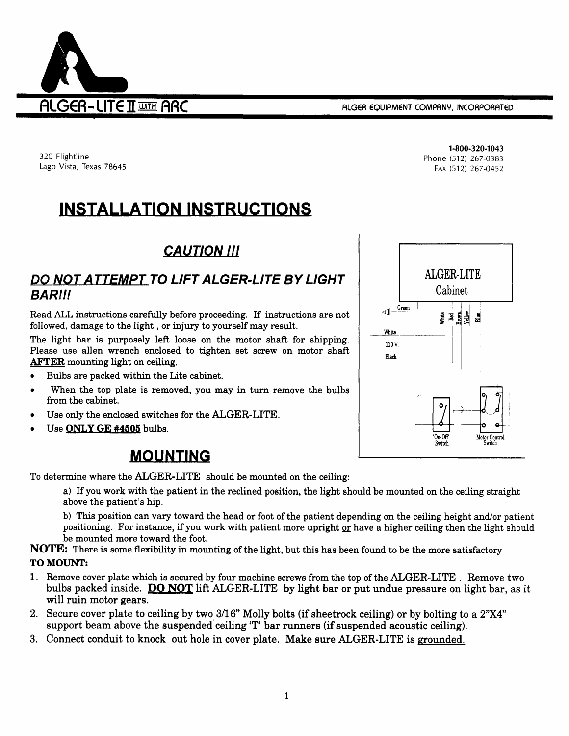

320 Flightline Lago Vista, Texas 78645

INSTALLATION INSTRUCTIONS

# **CAUTION !!!**

### DO NOT ATTEMPT TO LIFT ALGER.LITE BY LIGHT BARII!

Read ALL instructions carefully before proceeding. If instructions are not followed, damage to the light, or injury to yourself may result.

The light bar is purposely left loose on the motor shaft for shipping. Please use allen wrench enclosed to tighten set screw on motor shaft AFTER mounting light on ceiling.

- Bulbs are packed within the Lite cabinet. a
- When the top plate is removed, you may in turn remove the bulbe from the cabinet. o
- Use only the enclosed switches for the ALGER-LITE. a
- Use ONLY GE #4505 bulbs. a

# **MOUNTING**

To determine where the ALGER-LITE should be mounted on the ceiling:

a) If you work with the patient in the reclined position, the light should be mounted on the ceiling straight above the patient's hip.

b) This position can vary toward the head or foot of the patient depending on the ceiling height and/or patient positioning. For instance, if you work with patient more upright or have a higher ceiling then the light should be mounted more toward the foot.

NOTE: There is some flexibility in mounting of the light, but this has been found to be the more satisfactory TO MOUNT:

- 1 . Remove cover plate which ia secured by four machine screws from the top of the ALGER-LITE . Remove two bulbs packed inside. DO NOT lift ALGER-LITE by light bar or put undue pressure on light bar, as it will ruin motor gears.
- 2. Secure cover plate to ceiling by two 3/16" Molly bolts (if sheetrock ceiling) or by bolting to a 2"X4" support beam above the suspended ceiling'T' bar runnere (if suspended acoustic ceiling).
- 3. Connect conduit to knock out hole in cover plate. Make sure ALGER-LITE is grounded.

1-800-320-1043 Phone (512) 267-0383 FAX (512) 267-0452